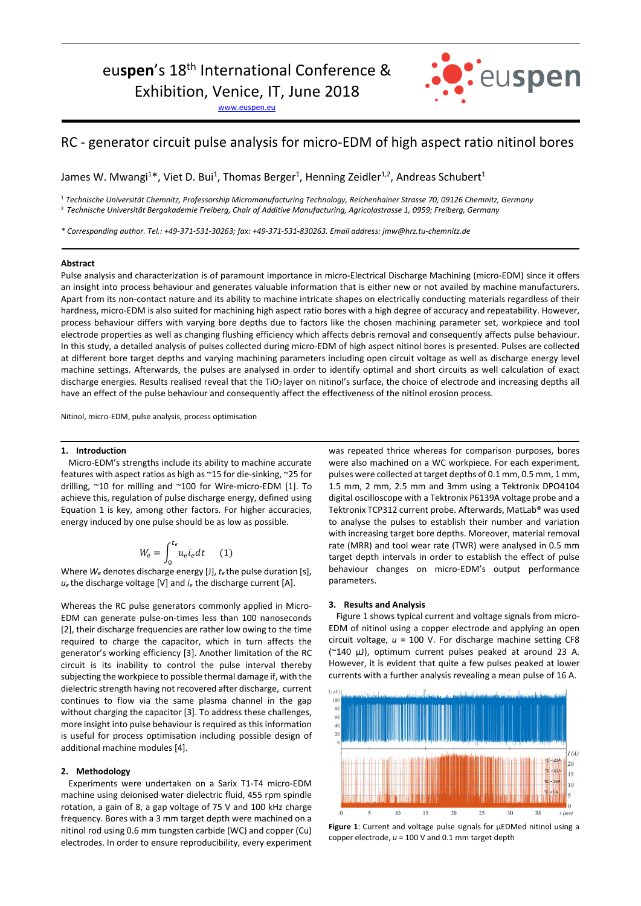# euspen's 18<sup>th</sup> International Conference &

Exhibition, Venice, IT, June 2018

www.euspen.eu



# RC - generator circuit pulse analysis for micro-EDM of high aspect ratio nitinol bores

James W. Mwangi<sup>1\*</sup>, Viet D. Bui<sup>1</sup>, Thomas Berger<sup>1</sup>, Henning Zeidler<sup>1,2</sup>, Andreas Schubert<sup>1</sup>

<sup>1</sup> *Technische Universität Chemnitz, Professorship Micromanufacturing Technology, Reichenhainer Strasse 70, 09126 Chemnitz, Germany*  <sup>2</sup> *Technische Universität Bergakademie Freiberg, Chair of Additive Manufacturing, Agricolastrasse 1, 0959; Freiberg, Germany* 

*\* Corresponding author. Tel.: +49-371-531-30263; fax: +49-371-531-830263. Email address: jmw@hrz.tu-chemnitz.de* 

#### **Abstract**

Pulse analysis and characterization is of paramount importance in micro-Electrical Discharge Machining (micro-EDM) since it offers an insight into process behaviour and generates valuable information that is either new or not availed by machine manufacturers. Apart from its non-contact nature and its ability to machine intricate shapes on electrically conducting materials regardless of their hardness, micro-EDM is also suited for machining high aspect ratio bores with a high degree of accuracy and repeatability. However, process behaviour differs with varying bore depths due to factors like the chosen machining parameter set, workpiece and tool electrode properties as well as changing flushing efficiency which affects debris removal and consequently affects pulse behaviour. In this study, a detailed analysis of pulses collected during micro-EDM of high aspect nitinol bores is presented. Pulses are collected at different bore target depths and varying machining parameters including open circuit voltage as well as discharge energy level machine settings. Afterwards, the pulses are analysed in order to identify optimal and short circuits as well calculation of exact discharge energies. Results realised reveal that the TiO<sub>2</sub> layer on nitinol's surface, the choice of electrode and increasing depths all have an effect of the pulse behaviour and consequently affect the effectiveness of the nitinol erosion process.

Nitinol, micro-EDM, pulse analysis, process optimisation

#### **1. Introduction**

Micro-EDM's strengths include its ability to machine accurate features with aspect ratios as high as ~15 for die-sinking, ~25 for drilling, ~10 for milling and ~100 for Wire-micro-EDM [1]. To achieve this, regulation of pulse discharge energy, defined using Equation 1 is key, among other factors. For higher accuracies, energy induced by one pulse should be as low as possible.

$$
W_e = \int_0^{t_e} u_e i_e dt \qquad (1)
$$

 Where *We* denotes discharge energy [J], *te* the pulse duration [s],  $u_e$  the discharge voltage [V] and  $i_e$  the discharge current [A].

Whereas the RC pulse generators commonly applied in Micro-EDM can generate pulse-on-times less than 100 nanoseconds [2], their discharge frequencies are rather low owing to the time required to charge the capacitor, which in turn affects the generator's working efficiency [3]. Another limitation of the RC circuit is its inability to control the pulse interval thereby subjecting the workpiece to possible thermal damage if, with the dielectric strength having not recovered after discharge, current continues to flow via the same plasma channel in the gap without charging the capacitor [3]. To address these challenges, more insight into pulse behaviour is required as this information is useful for process optimisation including possible design of additional machine modules [4].

## **2. Methodology**

Experiments were undertaken on a Sarix T1-T4 micro-EDM machine using deionised water dielectric fluid, 455 rpm spindle rotation, a gain of 8, a gap voltage of 75 V and 100 kHz charge frequency. Bores with a 3 mm target depth were machined on a nitinol rod using 0.6 mm tungsten carbide (WC) and copper (Cu) electrodes. In order to ensure reproducibility, every experiment was repeated thrice whereas for comparison purposes, bores were also machined on a WC workpiece. For each experiment, pulses were collected at target depths of 0.1 mm, 0.5 mm, 1 mm, 1.5 mm, 2 mm, 2.5 mm and 3mm using a Tektronix DPO4104 digital oscilloscope with a Tektronix P6139A voltage probe and a Tektronix TCP312 current probe. Afterwards, MatLab® was used to analyse the pulses to establish their number and variation with increasing target bore depths. Moreover, material removal rate (MRR) and tool wear rate (TWR) were analysed in 0.5 mm target depth intervals in order to establish the effect of pulse behaviour changes on micro-EDM's output performance parameters.

# **3. Results and Analysis**

Figure 1 shows typical current and voltage signals from micro-EDM of nitinol using a copper electrode and applying an open circuit voltage, *u* = 100 V. For discharge machine setting CF8 (~140 µJ), optimum current pulses peaked at around 23 A. However, it is evident that quite a few pulses peaked at lower currents with a further analysis revealing a mean pulse of 16 A.



**Figure 1**: Current and voltage pulse signals for µEDMed nitinol using a copper electrode, *u* = 100 V and 0.1 mm target depth